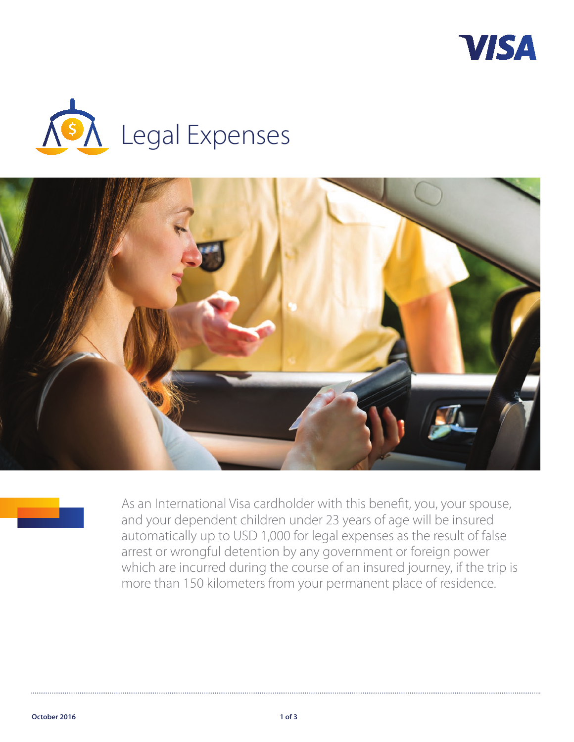







As an International Visa cardholder with this benefit, you, your spouse, and your dependent children under 23 years of age will be insured automatically up to USD 1,000 for legal expenses as the result of false arrest or wrongful detention by any government or foreign power which are incurred during the course of an insured journey, if the trip is more than 150 kilometers from your permanent place of residence.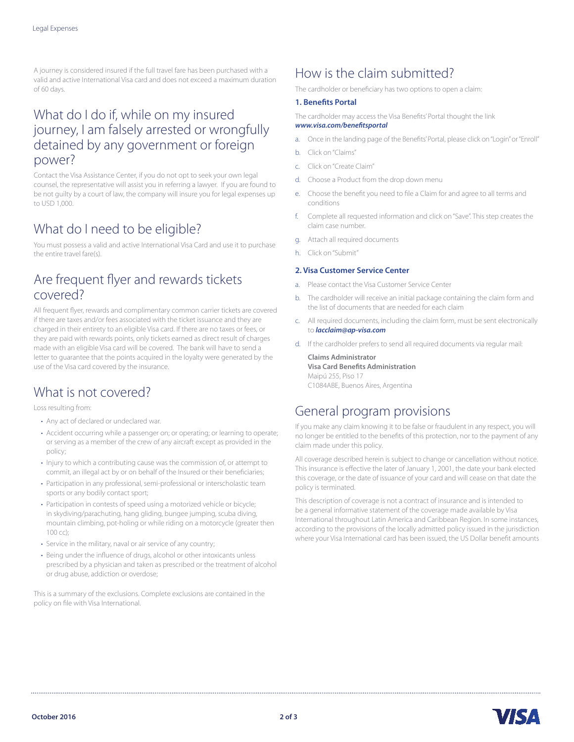A journey is considered insured if the full travel fare has been purchased with a valid and active International Visa card and does not exceed a maximum duration of 60 days.

### What do I do if, while on my insured journey, I am falsely arrested or wrongfully detained by any government or foreign power?

Contact the Visa Assistance Center, if you do not opt to seek your own legal counsel, the representative will assist you in referring a lawyer. If you are found to be not guilty by a court of law, the company will insure you for legal expenses up to USD 1,000.

## What do I need to be eligible?

You must possess a valid and active International Visa Card and use it to purchase the entire travel fare(s).

### Are frequent flyer and rewards tickets covered?

All frequent flyer, rewards and complimentary common carrier tickets are covered if there are taxes and/or fees associated with the ticket issuance and they are charged in their entirety to an eligible Visa card. If there are no taxes or fees, or they are paid with rewards points, only tickets earned as direct result of charges made with an eligible Visa card will be covered. The bank will have to send a letter to guarantee that the points acquired in the loyalty were generated by the use of the Visa card covered by the insurance.

## What is not covered?

Loss resulting from:

- Any act of declared or undeclared war.
- Accident occurring while a passenger on; or operating; or learning to operate; or serving as a member of the crew of any aircraft except as provided in the policy;
- Injury to which a contributing cause was the commission of, or attempt to commit, an illegal act by or on behalf of the Insured or their beneficiaries;
- Participation in any professional, semi-professional or interscholastic team sports or any bodily contact sport;
- Participation in contests of speed using a motorized vehicle or bicycle; in skydiving/parachuting, hang gliding, bungee jumping, scuba diving, mountain climbing, pot-holing or while riding on a motorcycle (greater then 100 cc);
- Service in the military, naval or air service of any country;
- Being under the influence of drugs, alcohol or other intoxicants unless prescribed by a physician and taken as prescribed or the treatment of alcohol or drug abuse, addiction or overdose;

This is a summary of the exclusions. Complete exclusions are contained in the policy on file with Visa International.

# How is the claim submitted?

The cardholder or beneficiary has two options to open a claim:

### **1. Benefits Portal**

The cardholder may access the Visa Benefits' Portal thought the link *www.visa.com/benefitsportal* 

- a. Once in the landing page of the Benefits' Portal, please click on "Login" or "Enroll"
- b. Click on "Claims"
- c. Click on "Create Claim"
- d. Choose a Product from the drop down menu
- e. Choose the benefit you need to file a Claim for and agree to all terms and conditions
- f. Complete all requested information and click on "Save". This step creates the claim case number.
- g. Attach all required documents
- h. Click on "Submit"

#### **2. Visa Customer Service Center**

- a. Please contact the Visa Customer Service Center
- b. The cardholder will receive an initial package containing the claim form and the list of documents that are needed for each claim
- c. All required documents, including the claim form, must be sent electronically to *lacclaim@ap-visa.com*
- d. If the cardholder prefers to send all required documents via regular mail:

**Claims Administrator Visa Card Benefits Administration** Maipú 255, Piso 17 C1084ABE, Buenos Aires, Argentina

## General program provisions

If you make any claim knowing it to be false or fraudulent in any respect, you will no longer be entitled to the benefits of this protection, nor to the payment of any claim made under this policy.

All coverage described herein is subject to change or cancellation without notice. This insurance is effective the later of January 1, 2001, the date your bank elected this coverage, or the date of issuance of your card and will cease on that date the policy is terminated.

This description of coverage is not a contract of insurance and is intended to be a general informative statement of the coverage made available by Visa International throughout Latin America and Caribbean Region. In some instances, according to the provisions of the locally admitted policy issued in the jurisdiction where your Visa International card has been issued, the US Dollar benefit amounts